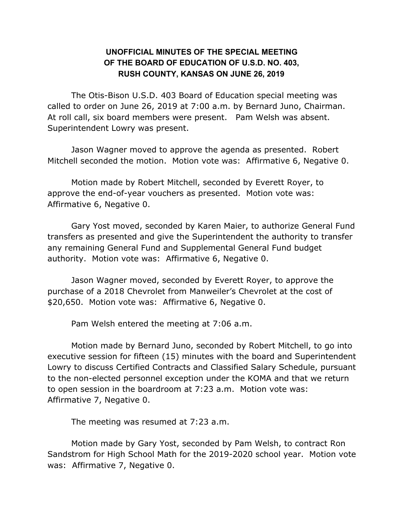## **UNOFFICIAL MINUTES OF THE SPECIAL MEETING OF THE BOARD OF EDUCATION OF U.S.D. NO. 403, RUSH COUNTY, KANSAS ON JUNE 26, 2019**

The Otis-Bison U.S.D. 403 Board of Education special meeting was called to order on June 26, 2019 at 7:00 a.m. by Bernard Juno, Chairman. At roll call, six board members were present. Pam Welsh was absent. Superintendent Lowry was present.

Jason Wagner moved to approve the agenda as presented. Robert Mitchell seconded the motion. Motion vote was: Affirmative 6, Negative 0.

Motion made by Robert Mitchell, seconded by Everett Royer, to approve the end-of-year vouchers as presented. Motion vote was: Affirmative 6, Negative 0.

Gary Yost moved, seconded by Karen Maier, to authorize General Fund transfers as presented and give the Superintendent the authority to transfer any remaining General Fund and Supplemental General Fund budget authority. Motion vote was: Affirmative 6, Negative 0.

Jason Wagner moved, seconded by Everett Royer, to approve the purchase of a 2018 Chevrolet from Manweiler's Chevrolet at the cost of \$20,650. Motion vote was: Affirmative 6, Negative 0.

Pam Welsh entered the meeting at 7:06 a.m.

Motion made by Bernard Juno, seconded by Robert Mitchell, to go into executive session for fifteen (15) minutes with the board and Superintendent Lowry to discuss Certified Contracts and Classified Salary Schedule, pursuant to the non-elected personnel exception under the KOMA and that we return to open session in the boardroom at 7:23 a.m. Motion vote was: Affirmative 7, Negative 0.

The meeting was resumed at 7:23 a.m.

Motion made by Gary Yost, seconded by Pam Welsh, to contract Ron Sandstrom for High School Math for the 2019-2020 school year. Motion vote was: Affirmative 7, Negative 0.